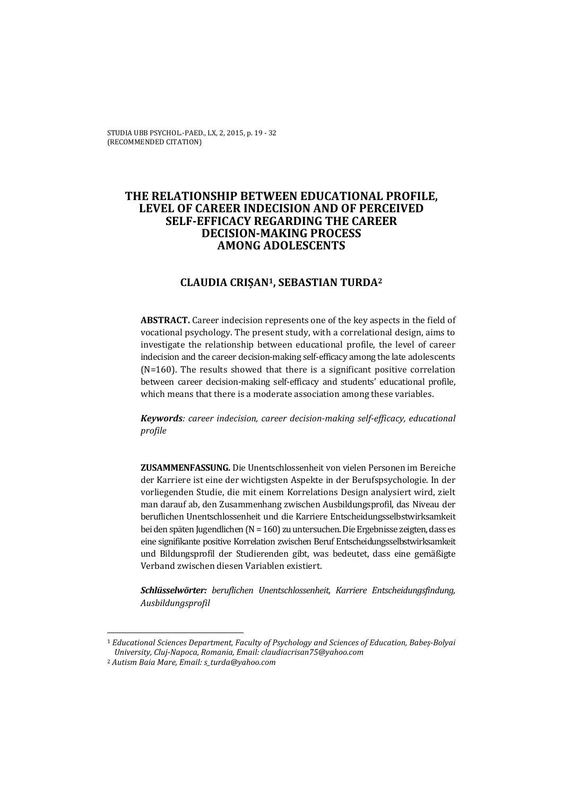# **THE RELATIONSHIP BETWEEN EDUCATIONAL PROFILE, LEVEL OF CAREER INDECISION AND OF PERCEIVED SELF-EFFICACY REGARDING THE CAREER DECISION-MAKING PROCESS AMONG ADOLESCENTS**

# **CLAUDIA CRIȘAN1, SEBASTIAN TURDA2**

**ABSTRACT.** Career indecision represents one of the key aspects in the field of vocational psychology. The present study, with a correlational design, aims to investigate the relationship between educational profile, the level of career indecision and the career decision-making self-efficacy among the late adolescents (N=160). The results showed that there is a significant positive correlation between career decision-making self-efficacy and students' educational profile, which means that there is a moderate association among these variables.

*Keywords: career indecision, career decision-making self-efficacy, educational profile* 

**ZUSAMMENFASSUNG***.* Die Unentschlossenheit von vielen Personen im Bereiche der Karriere ist eine der wichtigsten Aspekte in der Berufspsychologie. In der vorliegenden Studie, die mit einem Korrelations Design analysiert wird, zielt man darauf ab, den Zusammenhang zwischen Ausbildungsprofil, das Niveau der beruflichen Unentschlossenheit und die Karriere Entscheidungsselbstwirksamkeit bei den späten Jugendlichen (N = 160) zu untersuchen. Die Ergebnisse zeigten, dass es eine signifikante positive Korrelation zwischen Beruf Entscheidungsselbstwirksamkeit und Bildungsprofil der Studierenden gibt, was bedeutet, dass eine gemäßigte Verband zwischen diesen Variablen existiert.

*Schlüsselwörter: beruflichen Unentschlossenheit, Karriere Entscheidungsfindung, Ausbildungsprofil* 

 $\overline{\phantom{0}}$ 

<sup>1</sup> *Educational Sciences Department, Faculty of Psychology and Sciences of Education, Babeș-Bolyai University, Cluj-Napoca, Romania, Email: claudiacrisan75@yahoo.com*

<sup>2</sup> *Autism Baia Mare, Email: s\_turda@yahoo.com*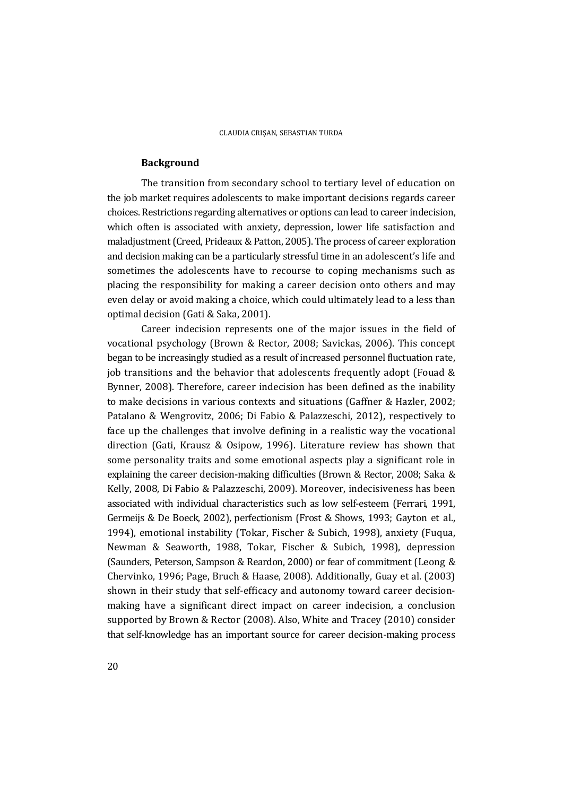### **Background**

The transition from secondary school to tertiary level of education on the job market requires adolescents to make important decisions regards career choices. Restrictions regarding alternatives or options can lead to career indecision, which often is associated with anxiety, depression, lower life satisfaction and maladjustment (Creed, Prideaux & Patton, 2005). The process of career exploration and decision making can be a particularly stressful time in an adolescent's life and sometimes the adolescents have to recourse to coping mechanisms such as placing the responsibility for making a career decision onto others and may even delay or avoid making a choice, which could ultimately lead to a less than optimal decision (Gati & Saka, 2001).

Career indecision represents one of the major issues in the field of vocational psychology (Brown & Rector, 2008; Savickas, 2006). This concept began to be increasingly studied as a result of increased personnel fluctuation rate, job transitions and the behavior that adolescents frequently adopt (Fouad & Bynner, 2008). Therefore, career indecision has been defined as the inability to make decisions in various contexts and situations (Gaffner & Hazler, 2002; Patalano & Wengrovitz, 2006; Di Fabio & Palazzeschi, 2012), respectively to face up the challenges that involve defining in a realistic way the vocational direction (Gati, Krausz & Osipow, 1996). Literature review has shown that some personality traits and some emotional aspects play a significant role in explaining the career decision-making difficulties (Brown & Rector, 2008; Saka & Kelly, 2008, Di Fabio & Palazzeschi, 2009). Moreover, indecisiveness has been associated with individual characteristics such as low self-esteem (Ferrari, 1991, Germeijs & De Boeck, 2002), perfectionism (Frost & Shows, 1993; Gayton et al., 1994), emotional instability (Tokar, Fischer & Subich, 1998), anxiety (Fuqua, Newman & Seaworth, 1988, Tokar, Fischer & Subich, 1998), depression (Saunders, Peterson, Sampson & Reardon, 2000) or fear of commitment (Leong & Chervinko, 1996; Page, Bruch & Haase, 2008). Additionally, Guay et al. (2003) shown in their study that self-efficacy and autonomy toward career decisionmaking have a significant direct impact on career indecision, a conclusion supported by Brown & Rector (2008). Also, White and Tracey (2010) consider that self-knowledge has an important source for career decision-making process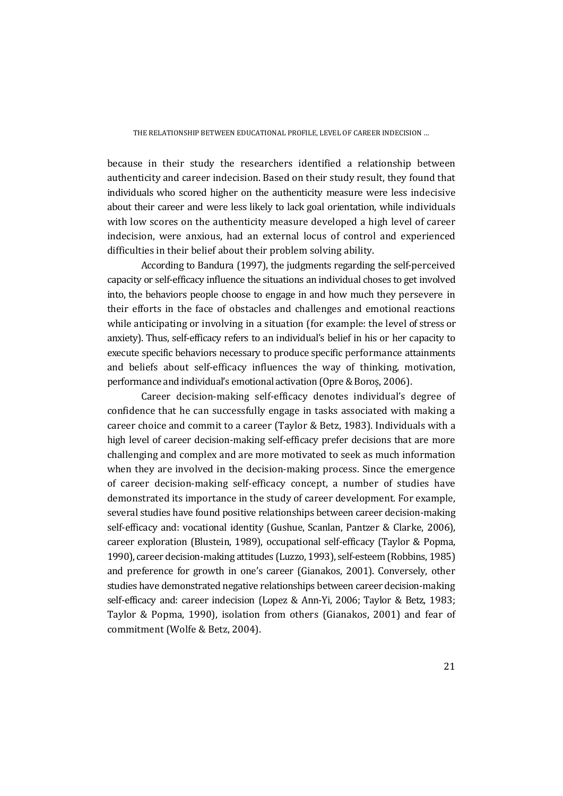because in their study the researchers identified a relationship between authenticity and career indecision. Based on their study result, they found that individuals who scored higher on the authenticity measure were less indecisive about their career and were less likely to lack goal orientation, while individuals with low scores on the authenticity measure developed a high level of career indecision, were anxious, had an external locus of control and experienced difficulties in their belief about their problem solving ability.

According to Bandura (1997), the judgments regarding the self-perceived capacity or self-efficacy influence the situations an individual choses to get involved into, the behaviors people choose to engage in and how much they persevere in their efforts in the face of obstacles and challenges and emotional reactions while anticipating or involving in a situation (for example: the level of stress or anxiety). Thus, self-efficacy refers to an individual's belief in his or her capacity to execute specific behaviors necessary to produce specific performance attainments and beliefs about self-efficacy influences the way of thinking, motivation, performance and individual's emotional activation (Opre & Boroș, 2006).

Career decision-making self-efficacy denotes individual's degree of confidence that he can successfully engage in tasks associated with making a career choice and commit to a career (Taylor & Betz, 1983). Individuals with a high level of career decision-making self-efficacy prefer decisions that are more challenging and complex and are more motivated to seek as much information when they are involved in the decision-making process. Since the emergence of career decision-making self-efficacy concept, a number of studies have demonstrated its importance in the study of career development. For example, several studies have found positive relationships between career decision-making self-efficacy and: vocational identity (Gushue, Scanlan, Pantzer & Clarke, 2006), career exploration (Blustein, 1989), occupational self-efficacy (Taylor & Popma, 1990), career decision-making attitudes (Luzzo, 1993), self-esteem (Robbins, 1985) and preference for growth in one's career (Gianakos, 2001). Conversely, other studies have demonstrated negative relationships between career decision-making self-efficacy and: career indecision (Lopez & Ann-Yi, 2006; Taylor & Betz, 1983; Taylor & Popma, 1990), isolation from others (Gianakos, 2001) and fear of commitment (Wolfe & Betz, 2004).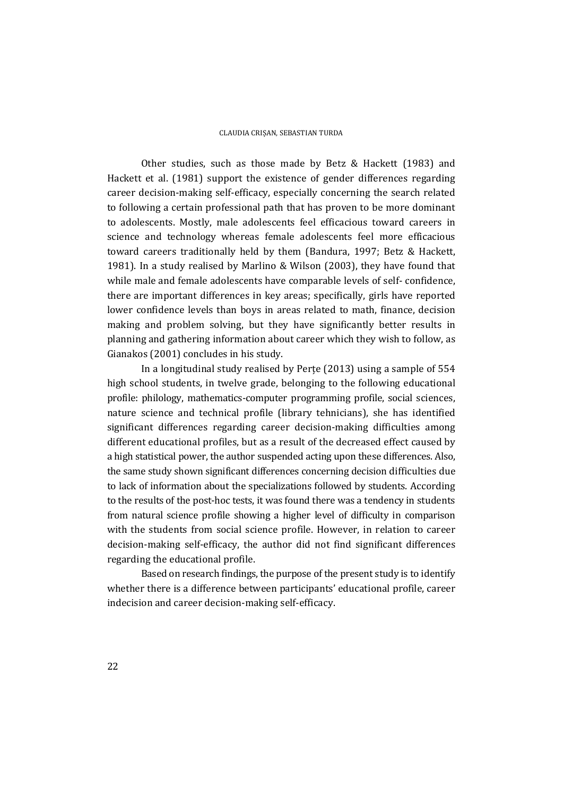Other studies, such as those made by Betz & Hackett (1983) and Hackett et al. (1981) support the existence of gender differences regarding career decision-making self-efficacy, especially concerning the search related to following a certain professional path that has proven to be more dominant to adolescents. Mostly, male adolescents feel efficacious toward careers in science and technology whereas female adolescents feel more efficacious toward careers traditionally held by them (Bandura, 1997; Betz & Hackett, 1981). In a study realised by Marlino & Wilson (2003), they have found that while male and female adolescents have comparable levels of self- confidence, there are important differences in key areas; specifically, girls have reported lower confidence levels than boys in areas related to math, finance, decision making and problem solving, but they have significantly better results in planning and gathering information about career which they wish to follow, as Gianakos (2001) concludes in his study.

In a longitudinal study realised by Perțe (2013) using a sample of 554 high school students, in twelve grade, belonging to the following educational profile: philology, mathematics-computer programming profile, social sciences, nature science and technical profile (library tehnicians), she has identified significant differences regarding career decision-making difficulties among different educational profiles, but as a result of the decreased effect caused by a high statistical power, the author suspended acting upon these differences. Also, the same study shown significant differences concerning decision difficulties due to lack of information about the specializations followed by students. According to the results of the post-hoc tests, it was found there was a tendency in students from natural science profile showing a higher level of difficulty in comparison with the students from social science profile. However, in relation to career decision-making self-efficacy, the author did not find significant differences regarding the educational profile.

Based on research findings, the purpose of the present study is to identify whether there is a difference between participants' educational profile, career indecision and career decision-making self-efficacy.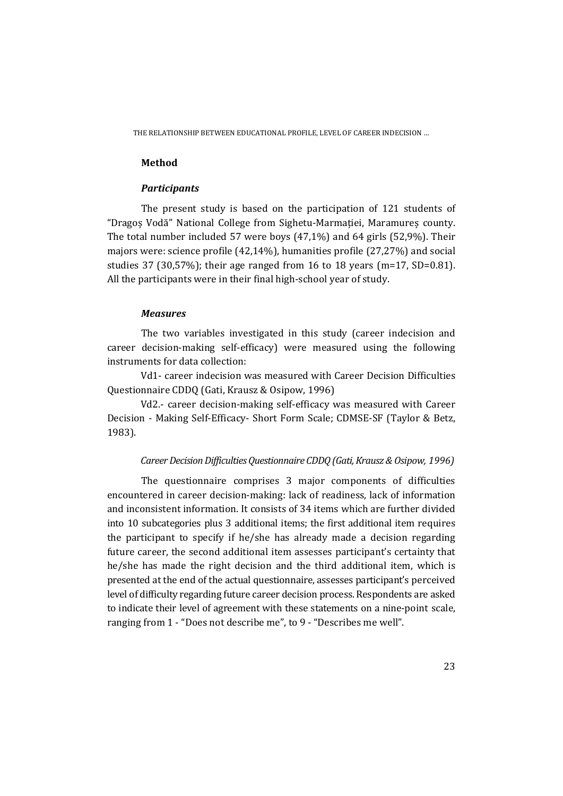### **Method**

#### *Participants*

The present study is based on the participation of 121 students of "Dragoș Vodă" National College from Sighetu-Marmației, Maramureș county. The total number included 57 were boys (47,1%) and 64 girls (52,9%). Their majors were: science profile (42,14%), humanities profile (27,27%) and social studies 37 (30,57%); their age ranged from 16 to 18 years (m=17, SD=0.81). All the participants were in their final high-school year of study.

#### *Measures*

The two variables investigated in this study (career indecision and career decision-making self-efficacy) were measured using the following instruments for data collection:

Vd1- career indecision was measured with Career Decision Difficulties Questionnaire CDDQ (Gati, Krausz & Osipow, 1996)

Vd2.- career decision-making self-efficacy was measured with Career Decision - Making Self-Efficacy- Short Form Scale; CDMSE-SF (Taylor & Betz, 1983).

### *Career Decision Difficulties Questionnaire CDDQ (Gati, Krausz & Osipow, 1996)*

The questionnaire comprises 3 major components of difficulties encountered in career decision-making: lack of readiness, lack of information and inconsistent information. It consists of 34 items which are further divided into 10 subcategories plus 3 additional items; the first additional item requires the participant to specify if he/she has already made a decision regarding future career, the second additional item assesses participant's certainty that he/she has made the right decision and the third additional item, which is presented at the end of the actual questionnaire, assesses participant's perceived level of difficulty regarding future career decision process. Respondents are asked to indicate their level of agreement with these statements on a nine-point scale, ranging from 1 - "Does not describe me", to 9 - "Describes me well".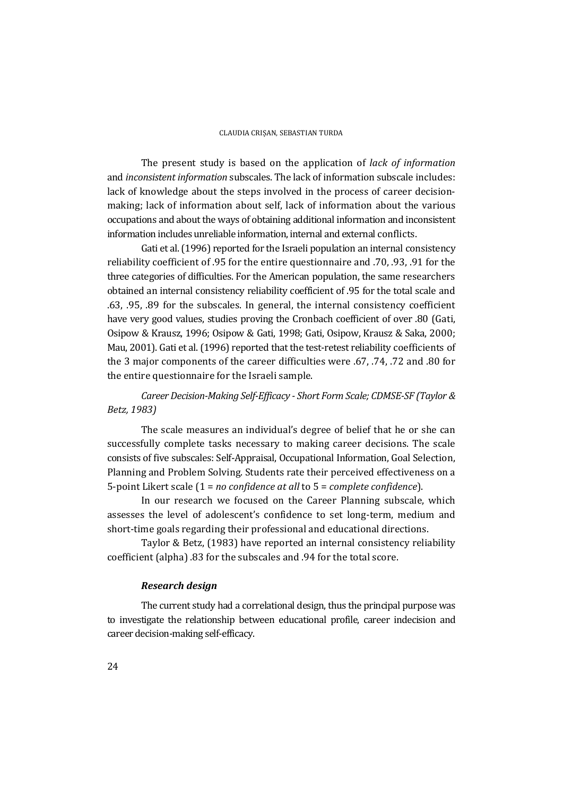The present study is based on the application of *lack of information* and *inconsistent information* subscales. The lack of information subscale includes: lack of knowledge about the steps involved in the process of career decisionmaking; lack of information about self, lack of information about the various occupations and about the ways of obtaining additional information and inconsistent information includes unreliable information, internal and external conflicts.

Gati et al. (1996) reported for the Israeli population an internal consistency reliability coefficient of .95 for the entire questionnaire and .70, .93, .91 for the three categories of difficulties. For the American population, the same researchers obtained an internal consistency reliability coefficient of .95 for the total scale and .63, .95, .89 for the subscales. In general, the internal consistency coefficient have very good values, studies proving the Cronbach coefficient of over .80 (Gati, Osipow & Krausz, 1996; Osipow & Gati, 1998; Gati, Osipow, Krausz & Saka, 2000; Mau, 2001). Gati et al. (1996) reported that the test-retest reliability coefficients of the 3 major components of the career difficulties were .67, .74, .72 and .80 for the entire questionnaire for the Israeli sample.

# *Career Decision-Making Self-Efficacy - Short Form Scale; CDMSE-SF (Taylor & Betz, 1983)*

The scale measures an individual's degree of belief that he or she can successfully complete tasks necessary to making career decisions. The scale consists of five subscales: Self-Appraisal, Occupational Information, Goal Selection, Planning and Problem Solving. Students rate their perceived effectiveness on a 5-point Likert scale (1 = *no confidence at all* to 5 = *complete confidence*).

In our research we focused on the Career Planning subscale, which assesses the level of adolescent's confidence to set long-term, medium and short-time goals regarding their professional and educational directions.

Taylor & Betz, (1983) have reported an internal consistency reliability coefficient (alpha) .83 for the subscales and .94 for the total score.

## *Research design*

The current study had a correlational design, thus the principal purpose was to investigate the relationship between educational profile, career indecision and career decision-making self-efficacy.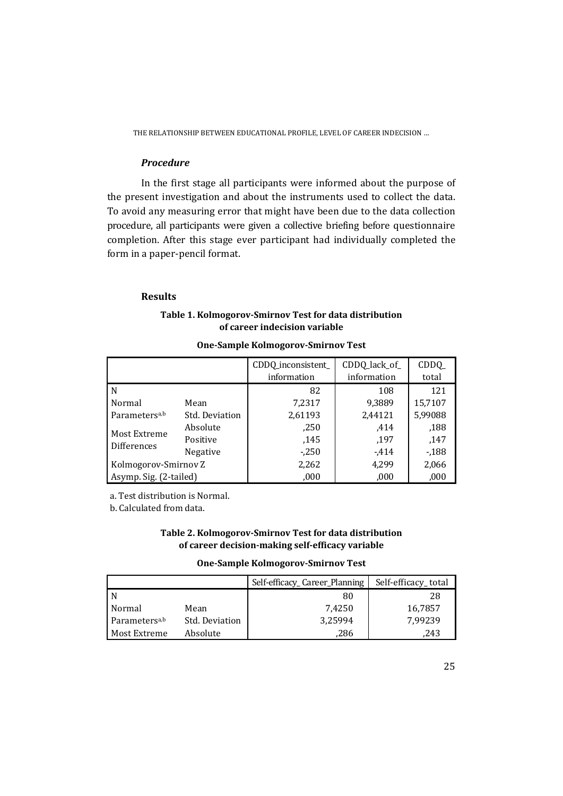## *Procedure*

In the first stage all participants were informed about the purpose of the present investigation and about the instruments used to collect the data. To avoid any measuring error that might have been due to the data collection procedure, all participants were given a collective briefing before questionnaire completion. After this stage ever participant had individually completed the form in a paper-pencil format.

### **Results**

## **Table 1. Kolmogorov-Smirnov Test for data distribution of career indecision variable**

|                                    |                | CDDQ_inconsistent_<br>information | CDDQ_lack_of_<br>information | $CDDQ_$<br>total |
|------------------------------------|----------------|-----------------------------------|------------------------------|------------------|
| l N                                |                | 82                                | 108                          | 121              |
| Normal                             | Mean           | 7,2317                            | 9,3889                       | 15,7107          |
| Parameters <sup>a,b</sup>          | Std. Deviation | 2,61193                           | 2,44121                      | 5,99088          |
| Most Extreme<br><b>Differences</b> | Absolute       | ,250                              | ,414                         | ,188             |
|                                    | Positive       | ,145                              | ,197                         | ,147             |
|                                    | Negative       | $-250$                            | $-414$                       | $-188$           |
| Kolmogorov-Smirnov Z               |                | 2,262                             | 4,299                        | 2,066            |
| Asymp. Sig. (2-tailed)             |                | ,000                              | ,000                         | ,000             |

### **One-Sample Kolmogorov-Smirnov Test**

a. Test distribution is Normal.

b. Calculated from data.

## **Table 2. Kolmogorov-Smirnov Test for data distribution of career decision-making self-efficacy variable**

#### **One-Sample Kolmogorov-Smirnov Test**

|                           |                | Self-efficacy_Career_Planning | Self-efficacy_total |
|---------------------------|----------------|-------------------------------|---------------------|
| l N                       |                | 80                            | 28                  |
| Normal                    | Mean           | 7.4250                        | 16,7857             |
| Parameters <sup>a,b</sup> | Std. Deviation | 3,25994                       | 7.99239             |
| Most Extreme              | Absolute       | .286                          | 243                 |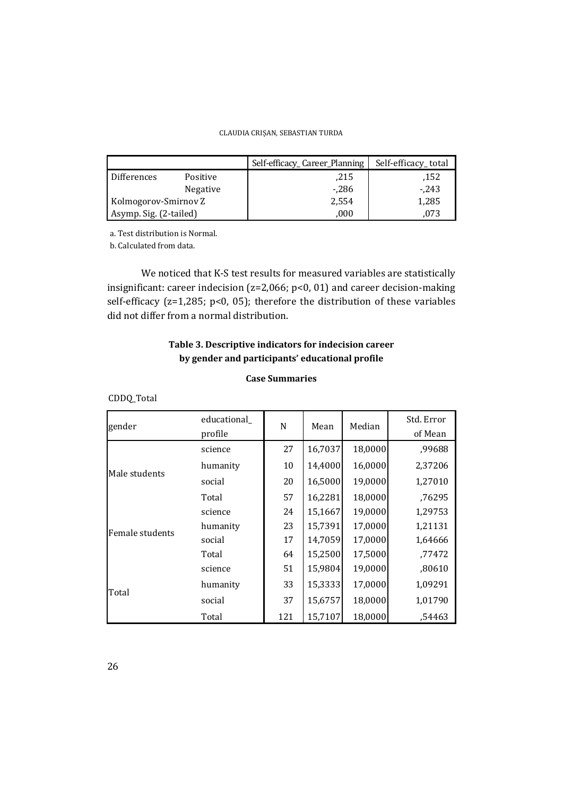|                        |                 | Self-efficacy_Career_Planning | Self-efficacy_total |
|------------------------|-----------------|-------------------------------|---------------------|
| <b>Differences</b>     | Positive        | .215                          | .152                |
|                        | <b>Negative</b> | $-286$                        | - 243               |
| Kolmogorov-Smirnov Z   |                 | 2,554                         | 1,285               |
| Asymp. Sig. (2-tailed) |                 | 000                           | 073                 |

a. Test distribution is Normal.

b. Calculated from data.

We noticed that K-S test results for measured variables are statistically insignificant: career indecision (z=2,066; p<0, 01) and career decision-making self-efficacy (z=1,285; p<0, 05); therefore the distribution of these variables did not differ from a normal distribution.

# **Table 3. Descriptive indicators for indecision career by gender and participants' educational profile**

### **Case Summaries**

CDDQ\_Total

| gender          | educational<br>profile | N   | Mean    | Median  | Std. Error<br>of Mean |
|-----------------|------------------------|-----|---------|---------|-----------------------|
|                 | science                | 27  | 16,7037 | 18,0000 | ,99688                |
| Male students   | humanity               | 10  | 14,4000 | 16,0000 | 2,37206               |
|                 | social                 | 20  | 16,5000 | 19,0000 | 1,27010               |
|                 | Total                  | 57  | 16,2281 | 18,0000 | ,76295                |
|                 | science                | 24  | 15,1667 | 19,0000 | 1,29753               |
| Female students | humanity               | 23  | 15,7391 | 17,0000 | 1,21131               |
|                 | social                 | 17  | 14,7059 | 17,0000 | 1,64666               |
|                 | Total                  | 64  | 15,2500 | 17,5000 | ,77472                |
|                 | science                | 51  | 15,9804 | 19,0000 | ,80610                |
|                 | humanity               | 33  | 15,3333 | 17,0000 | 1,09291               |
| Total           | social                 | 37  | 15,6757 | 18,0000 | 1,01790               |
|                 | Total                  | 121 | 15,7107 | 18,0000 | ,54463                |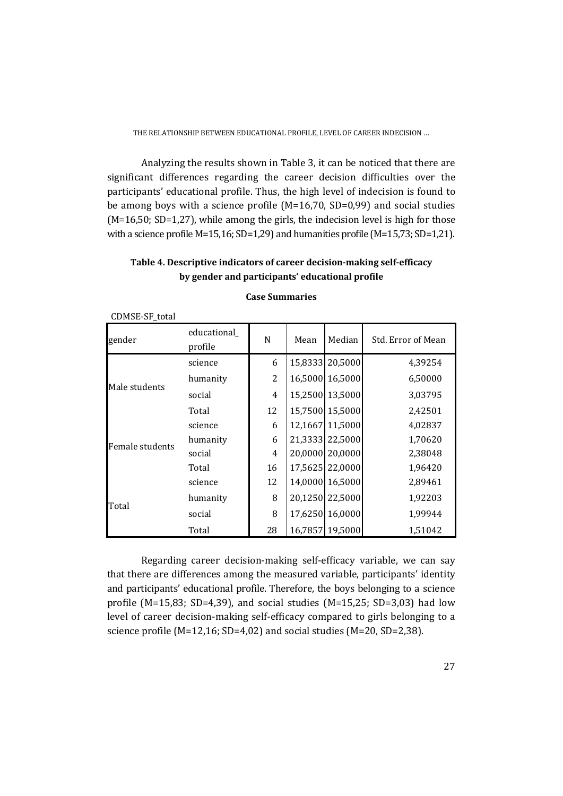THE RELATIONSHIP BETWEEN EDUCATIONAL PROFILE, LEVEL OF CAREER INDECISION …

Analyzing the results shown in Table 3, it can be noticed that there are significant differences regarding the career decision difficulties over the participants' educational profile. Thus, the high level of indecision is found to be among boys with a science profile (M=16,70, SD=0,99) and social studies  $(M=16,50; SD=1,27)$ , while among the girls, the indecision level is high for those with a science profile M=15,16; SD=1,29) and humanities profile (M=15,73; SD=1,21).

# **Table 4. Descriptive indicators of career decision-making self-efficacy by gender and participants' educational profile**

| gender          | educational_<br>profile | N              | Mean    | Median          | Std. Error of Mean |
|-----------------|-------------------------|----------------|---------|-----------------|--------------------|
| Male students   | science                 | 6              | 15,8333 | 20,5000         | 4,39254            |
|                 | humanity                | 2              | 16,5000 | 16,5000         | 6,50000            |
|                 | social                  | $\overline{4}$ |         | 15,2500 13,5000 | 3,03795            |
|                 | Total                   | 12             |         | 15,7500 15,5000 | 2,42501            |
| Female students | science                 | 6              | 12,1667 | 11,5000         | 4,02837            |
|                 | humanity                | 6              | 21,3333 | 22,5000         | 1,70620            |
|                 | social                  | 4              | 20,0000 | 20,0000         | 2,38048            |
|                 | Total                   | 16             |         | 17,5625 22,0000 | 1,96420            |
| Total           | science                 | 12             | 14,0000 | 16,5000         | 2,89461            |
|                 | humanity                | 8              | 20,1250 | 22,5000         | 1,92203            |
|                 | social                  | 8              | 17,6250 | 16,0000         | 1,99944            |
|                 | Total                   | 28             | 16,7857 | 19,5000         | 1,51042            |

**Case Summaries** 

CDMSE-SF\_total

Regarding career decision-making self-efficacy variable, we can say that there are differences among the measured variable, participants' identity and participants' educational profile. Therefore, the boys belonging to a science profile (M=15,83; SD=4,39), and social studies (M=15,25; SD=3,03) had low level of career decision-making self-efficacy compared to girls belonging to a science profile (M=12,16; SD=4,02) and social studies (M=20, SD=2,38).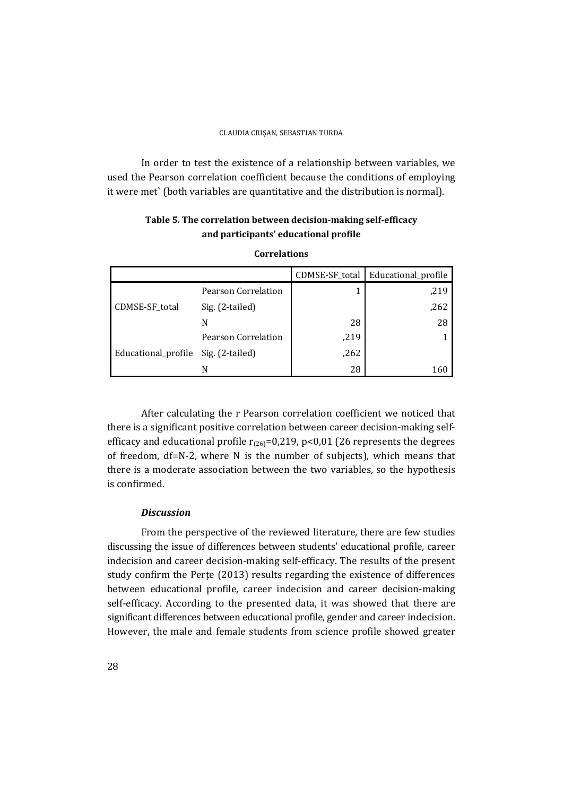In order to test the existence of a relationship between variables, we used the Pearson correlation coefficient because the conditions of employing it were met` (both variables are quantitative and the distribution is normal).

# **Table 5. The correlation between decision-making self-efficacy and participants' educational profile**

|                                     |                     | CDMSE-SF_total | Educational_profile |
|-------------------------------------|---------------------|----------------|---------------------|
| CDMSE-SF_total                      | Pearson Correlation |                | ,219                |
|                                     | Sig. (2-tailed)     |                | ,262                |
|                                     | N                   | 28             | 28                  |
| Educational_profile Sig. (2-tailed) | Pearson Correlation | ,219           |                     |
|                                     |                     | ,262           |                     |
|                                     | N                   | 28             | 160                 |

### **Correlations**

After calculating the r Pearson correlation coefficient we noticed that there is a significant positive correlation between career decision-making selfefficacy and educational profile  $r_{(26)}=0.219$ , p<0,01 (26 represents the degrees of freedom, df=N-2, where N is the number of subjects), which means that there is a moderate association between the two variables, so the hypothesis is confirmed.

### *Discussion*

From the perspective of the reviewed literature, there are few studies discussing the issue of differences between students' educational profile, career indecision and career decision-making self-efficacy. The results of the present study confirm the Perțe (2013) results regarding the existence of differences between educational profile, career indecision and career decision-making self-efficacy. According to the presented data, it was showed that there are significant differences between educational profile, gender and career indecision. However, the male and female students from science profile showed greater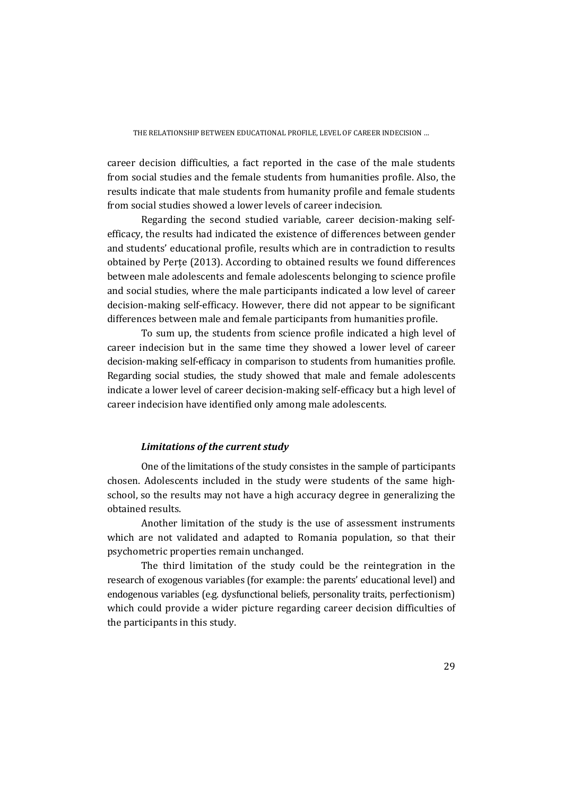career decision difficulties, a fact reported in the case of the male students from social studies and the female students from humanities profile. Also, the results indicate that male students from humanity profile and female students from social studies showed a lower levels of career indecision.

Regarding the second studied variable, career decision-making selfefficacy, the results had indicated the existence of differences between gender and students' educational profile, results which are in contradiction to results obtained by Perțe (2013). According to obtained results we found differences between male adolescents and female adolescents belonging to science profile and social studies, where the male participants indicated a low level of career decision-making self-efficacy. However, there did not appear to be significant differences between male and female participants from humanities profile.

To sum up, the students from science profile indicated a high level of career indecision but in the same time they showed a lower level of career decision-making self-efficacy in comparison to students from humanities profile. Regarding social studies, the study showed that male and female adolescents indicate a lower level of career decision-making self-efficacy but a high level of career indecision have identified only among male adolescents.

## *Limitations of the current study*

One of the limitations of the study consistes in the sample of participants chosen. Adolescents included in the study were students of the same highschool, so the results may not have a high accuracy degree in generalizing the obtained results.

Another limitation of the study is the use of assessment instruments which are not validated and adapted to Romania population, so that their psychometric properties remain unchanged.

The third limitation of the study could be the reintegration in the research of exogenous variables (for example: the parents' educational level) and endogenous variables (e.g. dysfunctional beliefs, personality traits, perfectionism) which could provide a wider picture regarding career decision difficulties of the participants in this study.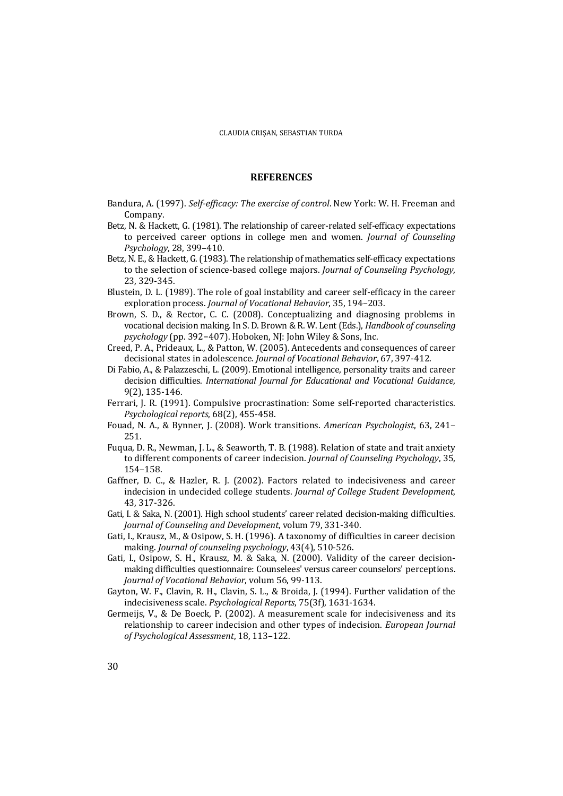#### **REFERENCES**

- Bandura, A. (1997). *Self-efficacy: The exercise of control*. New York: W. H. Freeman and Company.
- Betz, N. & Hackett, G. (1981). The relationship of career-related self-efficacy expectations to perceived career options in college men and women. *Journal of Counseling Psychology*, 28, 399–410.
- Betz, N. E., & Hackett, G. (1983). The relationship of mathematics self-efficacy expectations to the selection of science-based college majors. *Journal of Counseling Psychology*, 23, 329-345.
- Blustein, D. L. (1989). The role of goal instability and career self-efficacy in the career exploration process. *Journal of Vocational Behavior*, 35, 194–203.
- Brown, S. D., & Rector, C. C. (2008). Conceptualizing and diagnosing problems in vocational decision making. In S. D. Brown & R. W. Lent (Eds.), *Handbook of counseling psychology* (pp. 392−407). Hoboken, NJ: John Wiley & Sons, Inc.
- Creed, P. A., Prideaux, L., & Patton, W. (2005). Antecedents and consequences of career decisional states in adolescence. *Journal of Vocational Behavior*, 67, 397-412.
- Di Fabio, A., & Palazzeschi, L. (2009). Emotional intelligence, personality traits and career decision difficulties. *International Journal for Educational and Vocational Guidance*, 9(2), 135-146.
- Ferrari, J. R. (1991). Compulsive procrastination: Some self-reported characteristics. *Psychological reports*, 68(2), 455-458.
- Fouad, N. A., & Bynner, J. (2008). Work transitions. *American Psychologist*, 63, 241– 251.
- Fuqua, D. R., Newman, J. L., & Seaworth, T. B. (1988). Relation of state and trait anxiety to different components of career indecision. *Journal of Counseling Psychology*, 35, 154–158.
- Gaffner, D. C., & Hazler, R. J. (2002). Factors related to indecisiveness and career indecision in undecided college students. *Journal of College Student Development*, 43, 317-326.
- Gati, I. & Saka, N. (2001). High school students' career related decision-making difficulties. *Journal of Counseling and Development*, volum 79, 331-340.
- Gati, I., Krausz, M., & Osipow, S. H. (1996). A taxonomy of difficulties in career decision making. *Journal of counseling psychology*, 43(4), 510-526.
- Gati, I., Osipow, S. H., Krausz, M. & Saka, N. (2000). Validity of the career decisionmaking difficulties questionnaire: Counselees' versus career counselors' perceptions. *Journal of Vocational Behavior*, volum 56, 99-113.
- Gayton, W. F., Clavin, R. H., Clavin, S. L., & Broida, J. (1994). Further validation of the indecisiveness scale. *Psychological Reports*, 75(3f), 1631-1634.
- Germeijs, V., & De Boeck, P. (2002). A measurement scale for indecisiveness and its relationship to career indecision and other types of indecision. *European Journal of Psychological Assessment*, 18, 113–122.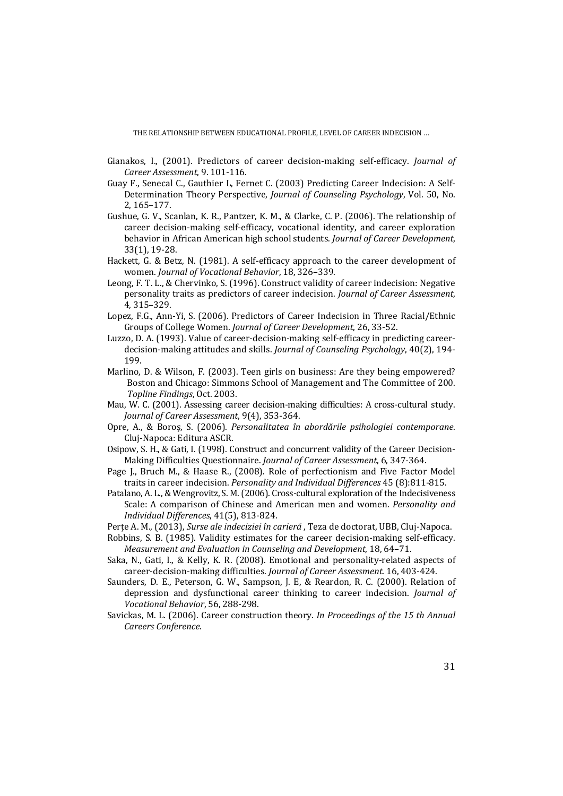THE RELATIONSHIP BETWEEN EDUCATIONAL PROFILE, LEVEL OF CAREER INDECISION …

- Gianakos, I., (2001). Predictors of career decision-making self-efficacy. *Journal of Career Assessment*, 9. 101-116.
- Guay F., Senecal C., Gauthier L, Fernet C. (2003) Predicting Career Indecision: A Self-Determination Theory Perspective, *Journal of Counseling Psychology*, Vol. 50, No. 2, 165–177.
- Gushue, G. V., Scanlan, K. R., Pantzer, K. M., & Clarke, C. P. (2006). The relationship of career decision-making self-efficacy, vocational identity, and career exploration behavior in African American high school students. *Journal of Career Development*, 33(1), 19-28.
- Hackett, G. & Betz, N. (1981). A self-efficacy approach to the career development of women. *Journal of Vocational Behavior*, 18, 326–339.
- Leong, F. T. L., & Chervinko, S. (1996). Construct validity of career indecision: Negative personality traits as predictors of career indecision. *Journal of Career Assessment*, 4, 315–329.
- Lopez, F.G., Ann-Yi, S. (2006). Predictors of Career Indecision in Three Racial/Ethnic Groups of College Women. *Journal of Career Development*, 26, 33-52.
- Luzzo, D. A. (1993). Value of career-decision-making self-efficacy in predicting careerdecision-making attitudes and skills. *Journal of Counseling Psychology*, 40(2), 194- 199.
- Marlino, D. & Wilson, F. (2003). Teen girls on business: Are they being empowered? Boston and Chicago: Simmons School of Management and The Committee of 200. *Topline Findings*, Oct. 2003.
- Mau, W. C. (2001). Assessing career decision-making difficulties: A cross-cultural study. *Journal of Career Assessment*, 9(4), 353-364.
- Opre, A., & Boroș, S. (2006). *Personalitatea în abordările psihologiei contemporane*. Cluj-Napoca: Editura ASCR.
- Osipow, S. H., & Gati, I. (1998). Construct and concurrent validity of the Career Decision-Making Difficulties Questionnaire. *Journal of Career Assessment*, 6, 347-364.
- Page J., Bruch M., & Haase R., (2008). Role of perfectionism and Five Factor Model traits in career indecision. *Personality and Individual Differences* 45 (8):811-815.
- Patalano, A. L., & Wengrovitz, S. M. (2006). Cross-cultural exploration of the Indecisiveness Scale: A comparison of Chinese and American men and women. *Personality and Individual Differences*, 41(5), 813-824.
- Perțe A. M., (2013), *Surse ale indeciziei în carieră* , Teza de doctorat, UBB, Cluj-Napoca.
- Robbins, S. B. (1985). Validity estimates for the career decision-making self-efficacy. *Measurement and Evaluation in Counseling and Development*, 18, 64–71.
- Saka, N., Gati, I., & Kelly, K. R. (2008). Emotional and personality-related aspects of career-decision-making difficulties. *Journal of Career Assessment*. 16, 403-424.
- Saunders, D. E., Peterson, G. W., Sampson, J. E, & Reardon, R. C. (2000). Relation of depression and dysfunctional career thinking to career indecision. *Journal of Vocational Behavior*, 56, 288-298.
- Savickas, M. L. (2006). Career construction theory. *In Proceedings of the 15 th Annual Careers Conference.*